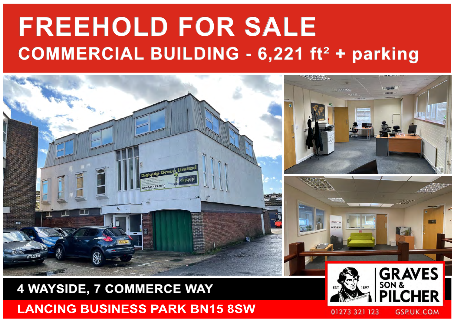# **FREEHOLD FOR SALE COMMERCIAL BUILDING - 6,221 ft<sup>2</sup> + parking**



## **4 WAYSIDE, 7 COMMERCE WAY LANCING BUSINESS PARK BN15 8SW**



**GSP.UK.COM**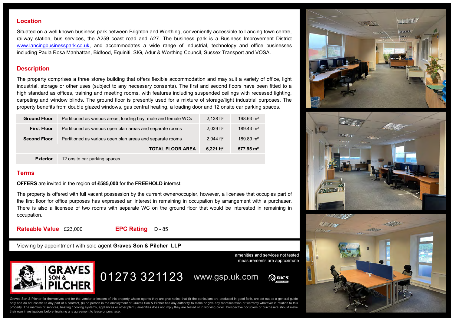#### **Location**

Situated on a well known business park between Brighton and Worthing, conveniently accessible to Lancing town centre, railway station, bus services, the A259 coast road and A27. The business park is a Business Improvement District [www.lancingbusinesspark.co.uk,](http://www.lancingbusinesspark.co.uk) and accommodates a wide range of industrial, technology and office businesses including Paula Rosa Manhattan, Bidfood, Equiniti, SIG, Adur & Worthing Council, Sussex Transport and VOSA.

### **Description**

The property comprises a three storey building that offers flexible accommodation and may suit a variety of office, light industrial, storage or other uses (subject to any necessary consents). The first and second floors have been fitted to a high standard as offices, training and meeting rooms, with features including suspended ceilings with recessed lighting, carpeting and window blinds. The ground floor is presently used for a mixture of storage/light industrial purposes. The property benefits from double glazed windows, gas central heating, a loading door and 12 onsite car parking spaces.

| <b>Ground Floor</b> | Partitioned as various areas, loading bay, male and female WCs | 2.138 ft <sup>2</sup>   | $198.63 \text{ m}^2$ |
|---------------------|----------------------------------------------------------------|-------------------------|----------------------|
| <b>First Floor</b>  | Partitioned as various open plan areas and separate rooms      | $2,039$ ft <sup>2</sup> | $189.43 \text{ m}^2$ |
| <b>Second Floor</b> | Partitioned as various open plan areas and separate rooms      | 2.044 ft <sup>2</sup>   | $189.89 \text{ m}^2$ |
|                     | <b>TOTAL FLOOR AREA</b>                                        | 6.221 $ft^2$            | $577.95 \text{ m}^2$ |
| <b>Exterior</b>     | 12 onsite car parking spaces                                   |                         |                      |

#### **Terms**

**OFFERS** are invited in the region **of £585,000** for the **FREEHOLD** interest.

The property is offered with full vacant possession by the current owner/occupier, however, a licensee that occupies part of the first floor for office purposes has expressed an interest in remaining in occupation by arrangement with a purchaser. There is also a licensee of two rooms with separate WC on the ground floor that would be interested in remaining in occupation.

**Rateable Value** £23,000 **EPC Rating** D - 85

Viewing by appointment with sole agent **Graves Son & Pilcher LLP**



amenities and services not tested measurements are approximate

01273 321123 www.gsp.uk.com**CORICS** 

Graves Son & Pilcher for themselves and for the vendor or lessors of this property whose agents they are give notice that (i) the particulars are produced in good faith, are set out as a general guide only and do not constitute any part of a contract, (ii) no person in the employment of Graves Son & Pilcher has any authority to make or give any representation or warranty whatever in relation to this property. The mention of services, heating / cooling systems, appliances or other plant / amenities does not imply they are tested or in working order. Prospective occupiers or purchasers should make their own investigations before finalising any agreement to lease or purchase.